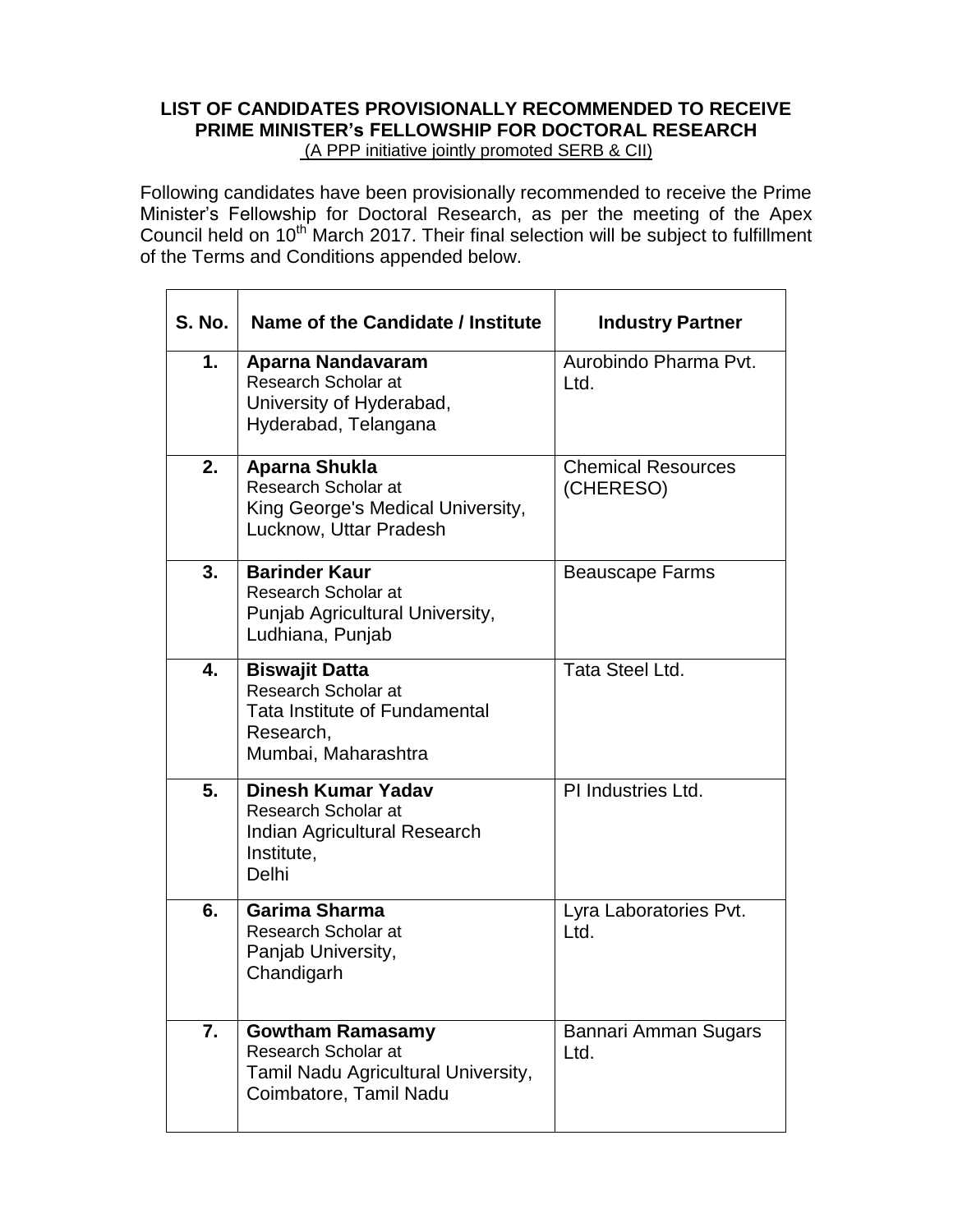# **LIST OF CANDIDATES PROVISIONALLY RECOMMENDED TO RECEIVE PRIME MINISTER's FELLOWSHIP FOR DOCTORAL RESEARCH**  (A PPP initiative jointly promoted SERB & CII)

Following candidates have been provisionally recommended to receive the Prime Minister's Fellowship for Doctoral Research, as per the meeting of the Apex Council held on 10th March 2017. Their final selection will be subject to fulfillment of the Terms and Conditions appended below.

| <b>S. No.</b> | Name of the Candidate / Institute                                                                                 | <b>Industry Partner</b>                |
|---------------|-------------------------------------------------------------------------------------------------------------------|----------------------------------------|
| 1.            | Aparna Nandavaram<br>Research Scholar at<br>University of Hyderabad,<br>Hyderabad, Telangana                      | Aurobindo Pharma Pvt.<br>Ltd.          |
| 2.            | Aparna Shukla<br><b>Research Scholar at</b><br>King George's Medical University,<br>Lucknow, Uttar Pradesh        | <b>Chemical Resources</b><br>(CHERESO) |
| 3.            | <b>Barinder Kaur</b><br>Research Scholar at<br>Punjab Agricultural University,<br>Ludhiana, Punjab                | <b>Beauscape Farms</b>                 |
| 4.            | <b>Biswajit Datta</b><br>Research Scholar at<br>Tata Institute of Fundamental<br>Research,<br>Mumbai, Maharashtra | Tata Steel Ltd.                        |
| 5.            | <b>Dinesh Kumar Yadav</b><br>Research Scholar at<br>Indian Agricultural Research<br>Institute,<br>Delhi           | PI Industries Ltd.                     |
| 6.            | <b>Garima Sharma</b><br><b>Research Scholar at</b><br>Panjab University,<br>Chandigarh                            | Lyra Laboratories Pvt.<br>Ltd.         |
| 7.            | <b>Gowtham Ramasamy</b><br>Research Scholar at<br>Tamil Nadu Agricultural University,<br>Coimbatore, Tamil Nadu   | Bannari Amman Sugars<br>Ltd.           |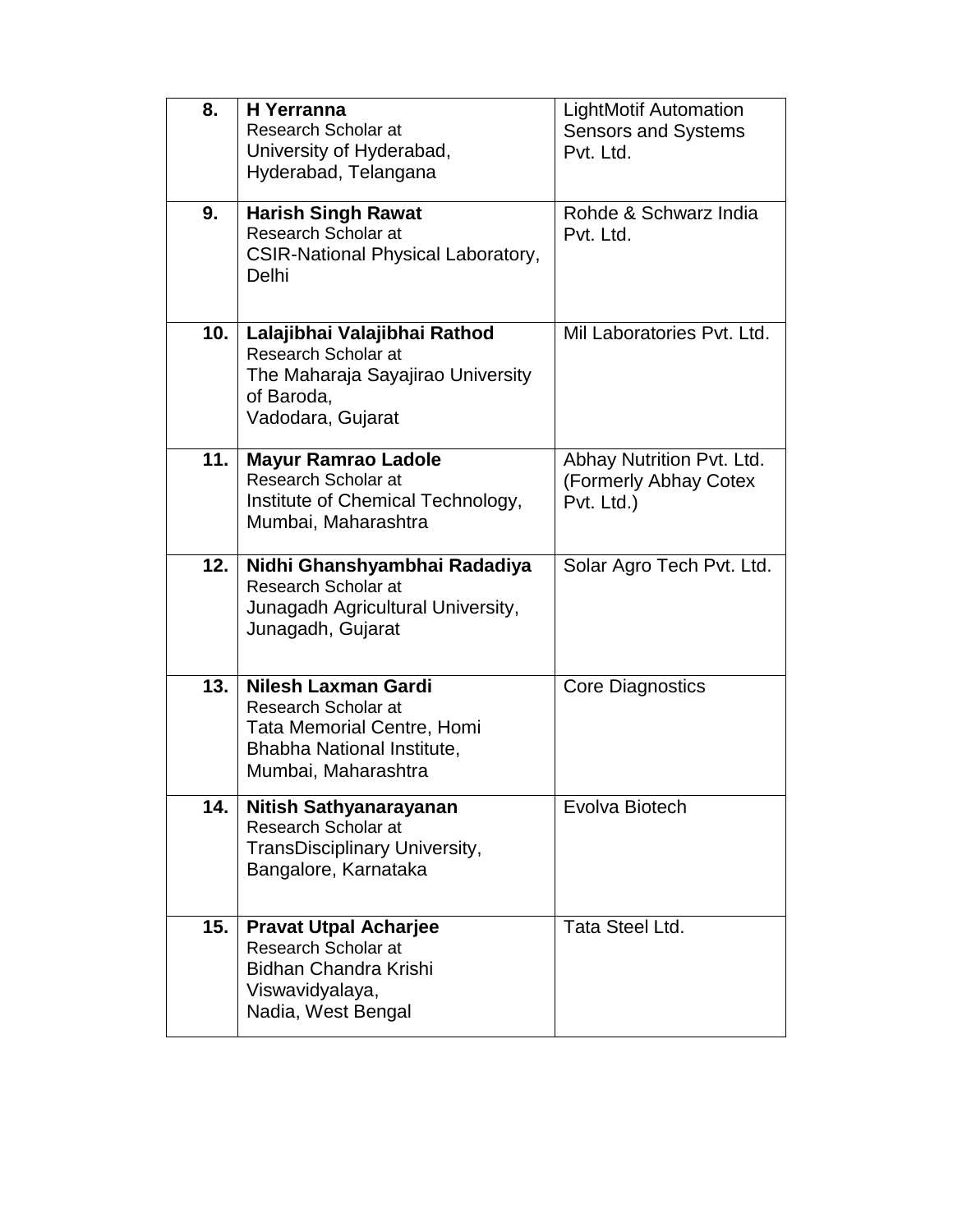| 8.  | <b>H</b> Yerranna<br>Research Scholar at<br>University of Hyderabad,<br>Hyderabad, Telangana                                  | <b>LightMotif Automation</b><br><b>Sensors and Systems</b><br>Pvt. Ltd. |
|-----|-------------------------------------------------------------------------------------------------------------------------------|-------------------------------------------------------------------------|
| 9.  | <b>Harish Singh Rawat</b><br>Research Scholar at<br><b>CSIR-National Physical Laboratory,</b><br>Delhi                        | Rohde & Schwarz India<br>Pvt. Ltd.                                      |
| 10. | Lalajibhai Valajibhai Rathod<br>Research Scholar at<br>The Maharaja Sayajirao University<br>of Baroda,<br>Vadodara, Gujarat   | Mil Laboratories Pvt. Ltd.                                              |
| 11. | <b>Mayur Ramrao Ladole</b><br>Research Scholar at<br>Institute of Chemical Technology,<br>Mumbai, Maharashtra                 | Abhay Nutrition Pvt. Ltd.<br>(Formerly Abhay Cotex<br>Pvt. Ltd.)        |
| 12. | Nidhi Ghanshyambhai Radadiya<br>Research Scholar at<br>Junagadh Agricultural University,<br>Junagadh, Gujarat                 | Solar Agro Tech Pvt. Ltd.                                               |
| 13. | Nilesh Laxman Gardi<br>Research Scholar at<br>Tata Memorial Centre, Homi<br>Bhabha National Institute,<br>Mumbai, Maharashtra | <b>Core Diagnostics</b>                                                 |
| 14. | Nitish Sathyanarayanan<br>Research Scholar at<br>TransDisciplinary University,<br>Bangalore, Karnataka                        | Evolva Biotech                                                          |
| 15. | <b>Pravat Utpal Acharjee</b><br>Research Scholar at<br>Bidhan Chandra Krishi<br>Viswavidyalaya,<br>Nadia, West Bengal         | Tata Steel Ltd.                                                         |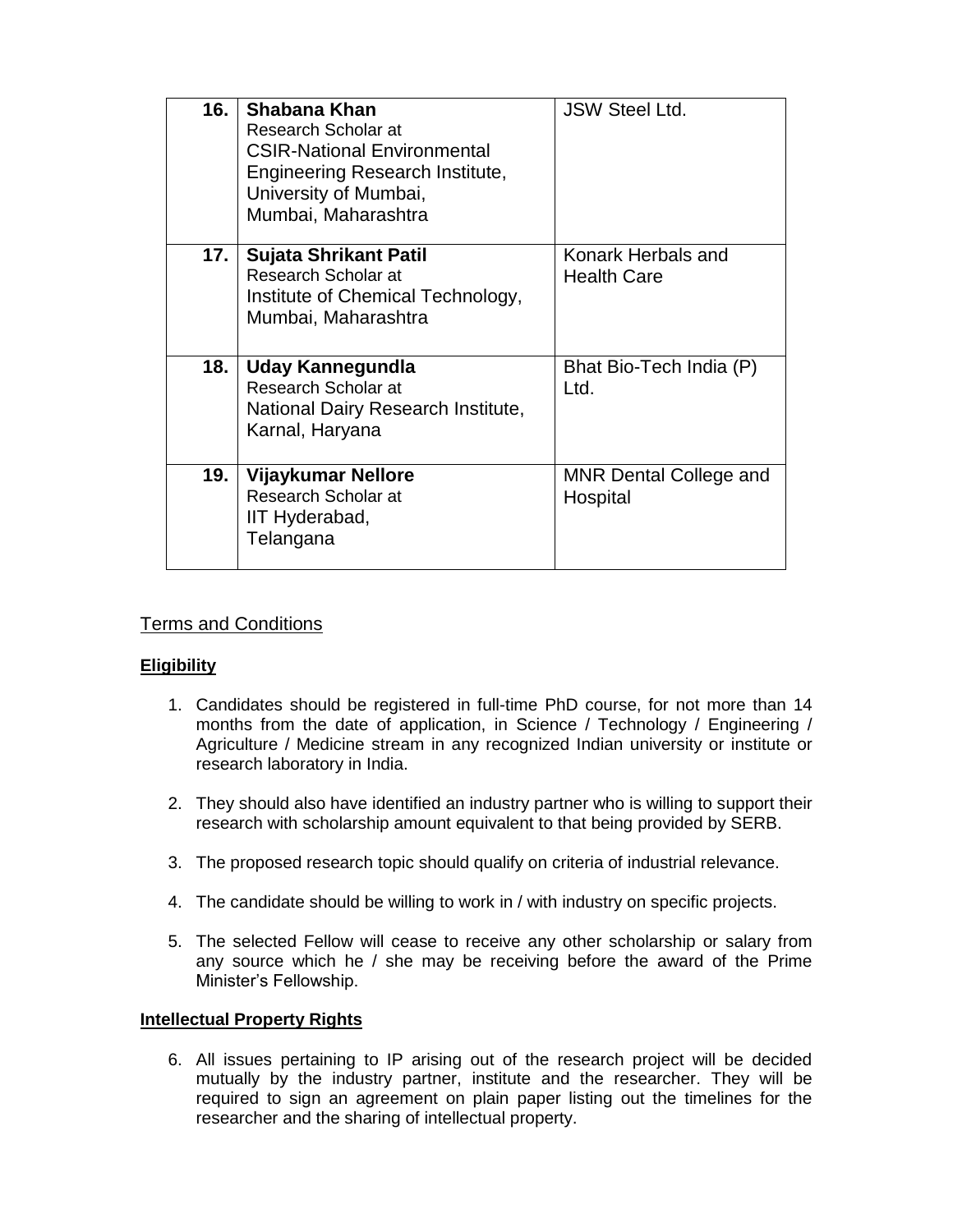| 16. | Shabana Khan<br>Research Scholar at<br><b>CSIR-National Environmental</b><br>Engineering Research Institute,<br>University of Mumbai,<br>Mumbai, Maharashtra | <b>JSW Steel Ltd.</b>                     |
|-----|--------------------------------------------------------------------------------------------------------------------------------------------------------------|-------------------------------------------|
| 17. | Sujata Shrikant Patil<br>Research Scholar at<br>Institute of Chemical Technology,<br>Mumbai, Maharashtra                                                     | Konark Herbals and<br><b>Health Care</b>  |
| 18. | Uday Kannegundla<br>Research Scholar at<br>National Dairy Research Institute,<br>Karnal, Haryana                                                             | Bhat Bio-Tech India (P)<br>Ltd.           |
| 19. | Vijaykumar Nellore<br>Research Scholar at<br>IIT Hyderabad,<br>Telangana                                                                                     | <b>MNR Dental College and</b><br>Hospital |

# Terms and Conditions

# **Eligibility**

- 1. Candidates should be registered in full-time PhD course, for not more than 14 months from the date of application, in Science / Technology / Engineering / Agriculture / Medicine stream in any recognized Indian university or institute or research laboratory in India.
- 2. They should also have identified an industry partner who is willing to support their research with scholarship amount equivalent to that being provided by SERB.
- 3. The proposed research topic should qualify on criteria of industrial relevance.
- 4. The candidate should be willing to work in / with industry on specific projects.
- 5. The selected Fellow will cease to receive any other scholarship or salary from any source which he / she may be receiving before the award of the Prime Minister's Fellowship.

# **Intellectual Property Rights**

6. All issues pertaining to IP arising out of the research project will be decided mutually by the industry partner, institute and the researcher. They will be required to sign an agreement on plain paper listing out the timelines for the researcher and the sharing of intellectual property.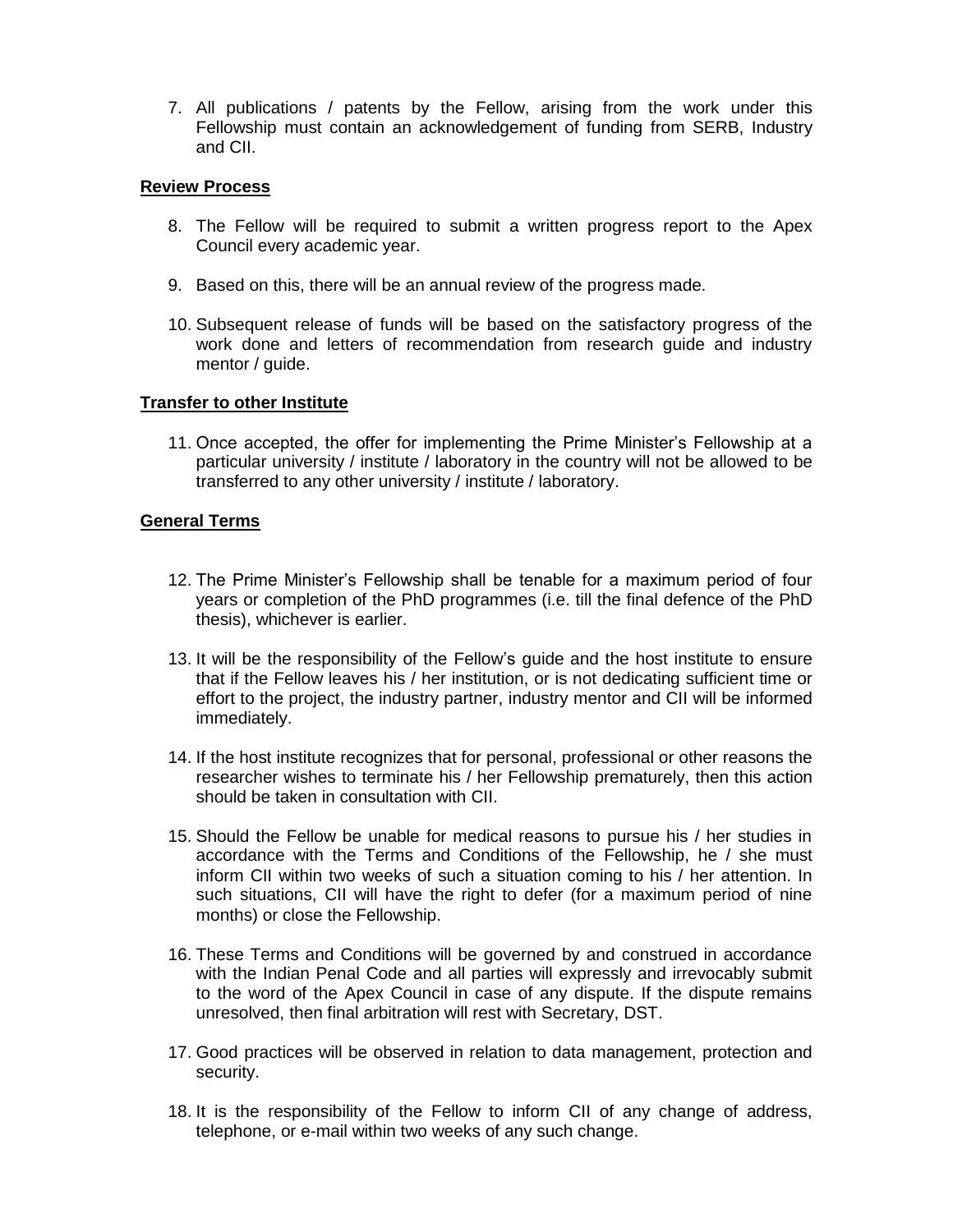7. All publications / patents by the Fellow, arising from the work under this Fellowship must contain an acknowledgement of funding from SERB, Industry and CII.

### **Review Process**

- 8. The Fellow will be required to submit a written progress report to the Apex Council every academic year.
- 9. Based on this, there will be an annual review of the progress made.
- 10. Subsequent release of funds will be based on the satisfactory progress of the work done and letters of recommendation from research guide and industry mentor / guide.

### **Transfer to other Institute**

11. Once accepted, the offer for implementing the Prime Minister's Fellowship at a particular university / institute / laboratory in the country will not be allowed to be transferred to any other university / institute / laboratory.

### **General Terms**

- 12. The Prime Minister's Fellowship shall be tenable for a maximum period of four years or completion of the PhD programmes (i.e. till the final defence of the PhD thesis), whichever is earlier.
- 13. It will be the responsibility of the Fellow's guide and the host institute to ensure that if the Fellow leaves his / her institution, or is not dedicating sufficient time or effort to the project, the industry partner, industry mentor and CII will be informed immediately.
- 14. If the host institute recognizes that for personal, professional or other reasons the researcher wishes to terminate his / her Fellowship prematurely, then this action should be taken in consultation with CII.
- 15. Should the Fellow be unable for medical reasons to pursue his / her studies in accordance with the Terms and Conditions of the Fellowship, he / she must inform CII within two weeks of such a situation coming to his / her attention. In such situations, CII will have the right to defer (for a maximum period of nine months) or close the Fellowship.
- 16. These Terms and Conditions will be governed by and construed in accordance with the Indian Penal Code and all parties will expressly and irrevocably submit to the word of the Apex Council in case of any dispute. If the dispute remains unresolved, then final arbitration will rest with Secretary, DST.
- 17. Good practices will be observed in relation to data management, protection and security.
- 18. It is the responsibility of the Fellow to inform CII of any change of address, telephone, or e-mail within two weeks of any such change.